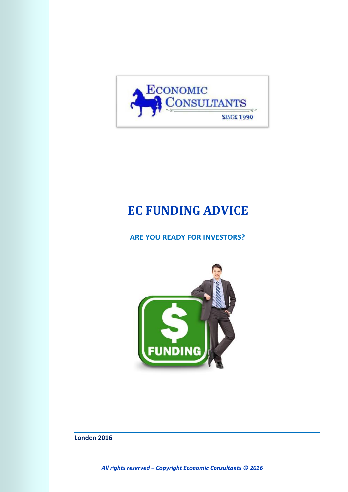

# **EC FUNDING ADVICE**

 **ARE YOU READY FOR INVESTORS?**



**London 2016**

*All rights reserved – Copyright Economic Consultants © 2016*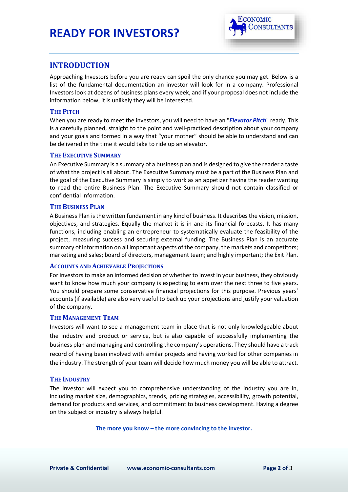# **READY FOR INVESTORS?**



# **INTRODUCTION**

Approaching Investors before you are ready can spoil the only chance you may get. Below is a list of the fundamental documentation an investor will look for in a company. Professional Investors look at dozens of business plans every week, and if your proposal does not include the information below, it is unlikely they will be interested.

# **THE PITCH**

When you are ready to meet the investors, you will need to have an "*Elevator Pitch*" ready. This is a carefully planned, straight to the point and well-practiced description about your company and your goals and formed in a way that "your mother" should be able to understand and can be delivered in the time it would take to ride up an elevator.

### **THE EXECUTIVE SUMMARY**

An Executive Summary is a summary of a business plan and is designed to give the reader a taste of what the project is all about. The Executive Summary must be a part of the Business Plan and the goal of the Executive Summary is simply to work as an appetizer having the reader wanting to read the entire Business Plan. The Executive Summary should not contain classified or confidential information.

### **THE BUSINESS PLAN**

A Business Plan is the written fundament in any kind of business. It describes the vision, mission, objectives, and strategies. Equally the market it is in and its financial forecasts. It has many functions, including enabling an entrepreneur to systematically evaluate the feasibility of the project, measuring success and securing external funding. The Business Plan is an accurate summary of information on all important aspects of the company, the markets and competitors; marketing and sales; board of directors, management team; and highly important; the Exit Plan.

#### **ACCOUNTS AND ACHIEVABLE PROJECTIONS**

For investors to make an informed decision of whether to invest in your business, they obviously want to know how much your company is expecting to earn over the next three to five years. You should prepare some conservative financial projections for this purpose. Previous years' accounts (if available) are also very useful to back up your projections and justify your valuation of the company.

#### **THE MANAGEMENT TEAM**

Investors will want to see a management team in place that is not only knowledgeable about the industry and product or service, but is also capable of successfully implementing the business plan and managing and controlling the company's operations. They should have a track record of having been involved with similar projects and having worked for other companies in the industry. The strength of your team will decide how much money you will be able to attract.

# **THE INDUSTRY**

The investor will expect you to comprehensive understanding of the industry you are in, including market size, demographics, trends, pricing strategies, accessibility, growth potential, demand for products and services, and commitment to business development. Having a degree on the subject or industry is always helpful.

### **The more you know – the more convincing to the Investor.**